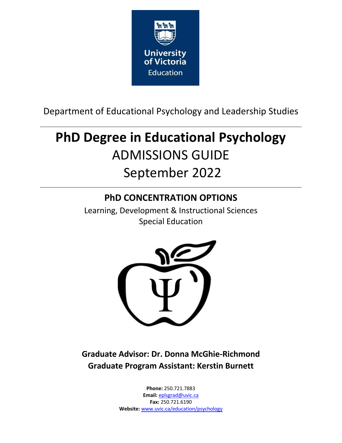

Department of Educational Psychology and Leadership Studies

# **PhD Degree in Educational Psychology** ADMISSIONS GUIDE September 2022

## **PhD CONCENTRATION OPTIONS**

Learning, Development & Instructional Sciences Special Education



**Graduate Advisor: Dr. Donna McGhie-Richmond Graduate Program Assistant: Kerstin Burnett**

> **Phone:** 250.721.7883 **Email:** eplsgrad@uvic.ca **Fax:** 250.721.6190 **Website:** www.uvic.ca/education/psychology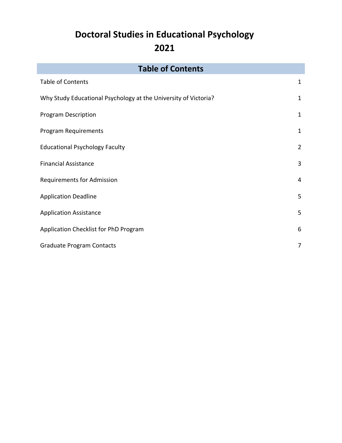## **Doctoral Studies in Educational Psychology 2021**

| <b>Table of Contents</b>                                        |                |  |
|-----------------------------------------------------------------|----------------|--|
| <b>Table of Contents</b>                                        | $\mathbf 1$    |  |
| Why Study Educational Psychology at the University of Victoria? | 1              |  |
| <b>Program Description</b>                                      | $\mathbf{1}$   |  |
| <b>Program Requirements</b>                                     | $\mathbf{1}$   |  |
| <b>Educational Psychology Faculty</b>                           | $\overline{2}$ |  |
| <b>Financial Assistance</b>                                     | 3              |  |
| <b>Requirements for Admission</b>                               | 4              |  |
| <b>Application Deadline</b>                                     | 5              |  |
| <b>Application Assistance</b>                                   | 5              |  |
| Application Checklist for PhD Program                           | 6              |  |
| <b>Graduate Program Contacts</b>                                | 7              |  |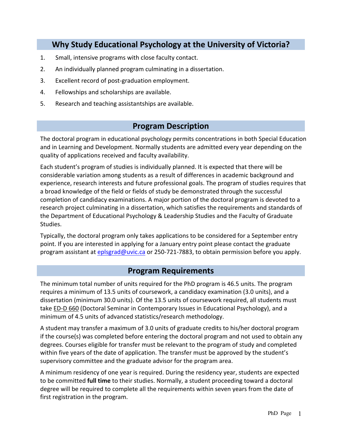## **Why Study Educational Psychology at the University of Victoria?**

- 1. Small, intensive programs with close faculty contact.
- 2. An individually planned program culminating in a dissertation.
- 3. Excellent record of post-graduation employment.
- 4. Fellowships and scholarships are available.
- 5. Research and teaching assistantships are available.

## **Program Description**

The doctoral program in educational psychology permits concentrations in both Special Education and in Learning and Development. Normally students are admitted every year depending on the quality of applications received and faculty availability.

Each student's program of studies is individually planned. It is expected that there will be considerable variation among students as a result of differences in academic background and experience, research interests and future professional goals. The program of studies requires that a broad knowledge of the field or fields of study be demonstrated through the successful completion of candidacy examinations. A major portion of the doctoral program is devoted to a research project culminating in a dissertation, which satisfies the requirements and standards of the Department of Educational Psychology & Leadership Studies and the Faculty of Graduate Studies.

Typically, the doctoral program only takes applications to be considered for a September entry point. If you are interested in applying for a January entry point please contact the graduate program assistant at eplsgrad@uvic.ca or 250-721-7883, to obtain permission before you apply.

### **Program Requirements**

The minimum total number of units required for the PhD program is 46.5 units. The program requires a minimum of 13.5 units of coursework, a candidacy examination (3.0 units), and a dissertation (minimum 30.0 units). Of the 13.5 units of coursework required, all students must take ED-D 660 (Doctoral Seminar in Contemporary Issues in Educational Psychology), and a minimum of 4.5 units of advanced statistics/research methodology.

A student may transfer a maximum of 3.0 units of graduate credits to his/her doctoral program if the course(s) was completed before entering the doctoral program and not used to obtain any degrees. Courses eligible for transfer must be relevant to the program of study and completed within five years of the date of application. The transfer must be approved by the student's supervisory committee and the graduate advisor for the program area.

A minimum residency of one year is required. During the residency year, students are expected to be committed **full time** to their studies. Normally, a student proceeding toward a doctoral degree will be required to complete all the requirements within seven years from the date of first registration in the program.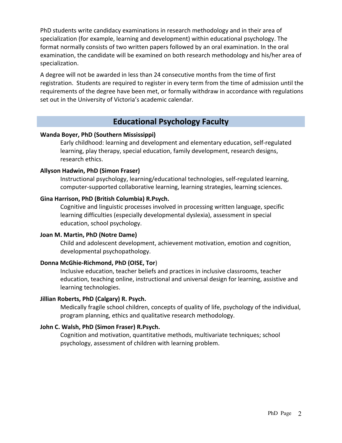PhD students write candidacy examinations in research methodology and in their area of specialization (for example, learning and development) within educational psychology. The format normally consists of two written papers followed by an oral examination. In the oral examination, the candidate will be examined on both research methodology and his/her area of specialization.

A degree will not be awarded in less than 24 consecutive months from the time of first registration. Students are required to register in every term from the time of admission until the requirements of the degree have been met, or formally withdraw in accordance with regulations set out in the University of Victoria's academic calendar.

### **Educational Psychology Faculty**

#### **Wanda Boyer, PhD (Southern Mississippi)**

Early childhood: learning and development and elementary education, self-regulated learning, play therapy, special education, family development, research designs, research ethics.

#### **Allyson Hadwin, PhD (Simon Fraser)**

Instructional psychology, learning/educational technologies, self-regulated learning, computer-supported collaborative learning, learning strategies, learning sciences.

#### **Gina Harrison, PhD (British Columbia) R.Psych.**

Cognitive and linguistic processes involved in processing written language, specific learning difficulties (especially developmental dyslexia), assessment in special education, school psychology.

#### **Joan M. Martin, PhD (Notre Dame)**

Child and adolescent development, achievement motivation, emotion and cognition, developmental psychopathology.

#### **Donna McGhie-Richmond, PhD (OISE, Tor**)

Inclusive education, teacher beliefs and practices in inclusive classrooms, teacher education, teaching online, instructional and universal design for learning, assistive and learning technologies.

#### **Jillian Roberts, PhD (Calgary) R. Psych.**

Medically fragile school children, concepts of quality of life, psychology of the individual, program planning, ethics and qualitative research methodology.

#### **John C. Walsh, PhD (Simon Fraser) R.Psych.**

Cognition and motivation, quantitative methods, multivariate techniques; school psychology, assessment of children with learning problem.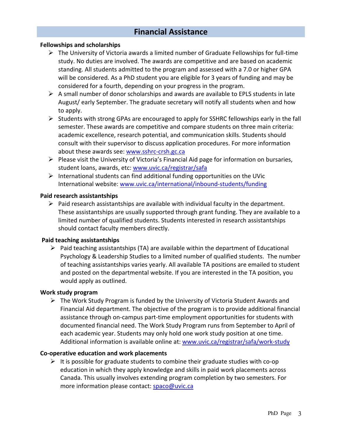## **Financial Assistance**

#### **Fellowships and scholarships**

- $\triangleright$  The University of Victoria awards a limited number of Graduate Fellowships for full-time study. No duties are involved. The awards are competitive and are based on academic standing. All students admitted to the program and assessed with a 7.0 or higher GPA will be considered. As a PhD student you are eligible for 3 years of funding and may be considered for a fourth, depending on your progress in the program.
- $\triangleright$  A small number of donor scholarships and awards are available to EPLS students in late August/ early September. The graduate secretary will notify all students when and how to apply.
- $\triangleright$  Students with strong GPAs are encouraged to apply for SSHRC fellowships early in the fall semester. These awards are competitive and compare students on three main criteria: academic excellence, research potential, and communication skills. Students should consult with their supervisor to discuss application procedures. For more information about these awards see: www.sshrc-crsh.gc.ca
- $\triangleright$  Please visit the University of Victoria's Financial Aid page for information on bursaries, student loans, awards, etc: www.uvic.ca/registrar/safa
- $\triangleright$  International students can find additional funding opportunities on the UVic International website: www.uvic.ca/international/inbound-students/funding

#### **Paid research assistantships**

 $\triangleright$  Paid research assistantships are available with individual faculty in the department. These assistantships are usually supported through grant funding. They are available to a limited number of qualified students. Students interested in research assistantships should contact faculty members directly.

#### **Paid teaching assistantships**

 $\triangleright$  Paid teaching assistantships (TA) are available within the department of Educational Psychology & Leadership Studies to a limited number of qualified students. The number of teaching assistantships varies yearly. All available TA positions are emailed to student and posted on the departmental website. If you are interested in the TA position, you would apply as outlined.

#### **Work study program**

 $\triangleright$  The Work Study Program is funded by the University of Victoria Student Awards and Financial Aid department. The objective of the program is to provide additional financial assistance through on-campus part-time employment opportunities for students with documented financial need. The Work Study Program runs from September to April of each academic year. Students may only hold one work study position at one time. Additional information is available online at: www.uvic.ca/registrar/safa/work-study

#### **Co-operative education and work placements**

 $\triangleright$  It is possible for graduate students to combine their graduate studies with co-op education in which they apply knowledge and skills in paid work placements across Canada. This usually involves extending program completion by two semesters. For more information please contact: spaco@uvic.ca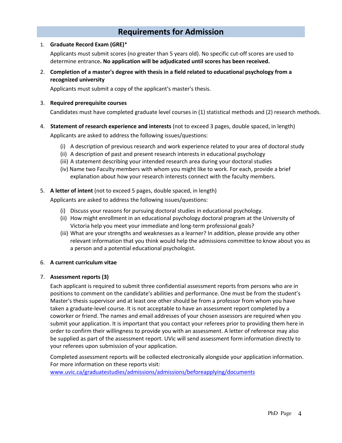## **Requirements for Admission**

#### 1. **Graduate Record Exam (GRE)**\*

Applicants must submit scores (no greater than 5 years old). No specific cut-off scores are used to determine entrance**. No application will be adjudicated until scores has been received.**

2. **Completion of a master's degree with thesis in a field related to educational psychology from a recognized university**

Applicants must submit a copy of the applicant's master's thesis.

#### 3. **Required prerequisite courses**

Candidates must have completed graduate level courses in (1) statistical methods and (2) research methods.

4. **Statement of research experience and interests** (not to exceed 3 pages, double spaced, in length)

Applicants are asked to address the following issues/questions:

- (i) A description of previous research and work experience related to your area of doctoral study
- (ii) A description of past and present research interests in educational psychology
- (iii) A statement describing your intended research area during your doctoral studies
- (iv) Name two Faculty members with whom you might like to work. For each, provide a brief explanation about how your research interests connect with the faculty members.
- 5. **A letter of intent** (not to exceed 5 pages, double spaced, in length)

Applicants are asked to address the following issues/questions:

- (i) Discuss your reasons for pursuing doctoral studies in educational psychology.
- (ii) How might enrollment in an educational psychology doctoral program at the University of Victoria help you meet your immediate and long-term professional goals?
- (iii) What are your strengths and weaknesses as a learner? In addition, please provide any other relevant information that you think would help the admissions committee to know about you as a person and a potential educational psychologist.

#### 6. **A current curriculum vitae**

#### 7. **Assessment reports (3)**

Each applicant is required to submit three confidential assessment reports from persons who are in positions to comment on the candidate's abilities and performance. One must be from the student's Master's thesis supervisor and at least one other should be from a professor from whom you have taken a graduate-level course. It is not acceptable to have an assessment report completed by a coworker or friend. The names and email addresses of your chosen assessors are required when you submit your application. It is important that you contact your referees prior to providing them here in order to confirm their willingness to provide you with an assessment. A letter of reference may also be supplied as part of the assessment report. UVic will send assessment form information directly to your referees upon submission of your application.

Completed assessment reports will be collected electronically alongside your application information. For more information on these reports visit:

www.uvic.ca/graduatestudies/admissions/admissions/beforeapplying/documents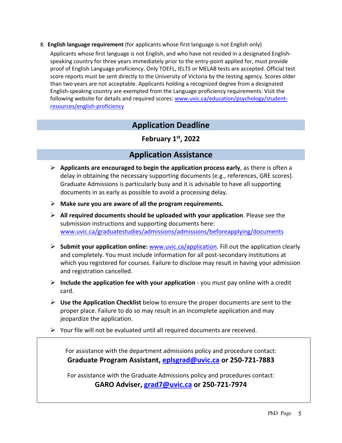8. **English language requirement** (for applicants whose first language is not English only)

Applicants whose first language is not English, and who have not resided in a designated Englishspeaking country for three years immediately prior to the entry-point applied for, must provide proof of English Language proficiency. Only TOEFL, IELTS or MELAB tests are accepted. Official test score reports must be sent directly to the University of Victoria by the testing agency. Scores older than two years are not acceptable. Applicants holding a recognized degree from a designated English-speaking country are exempted from the Language proficiency requirements. Visit the following website for details and required scores: www.uvic.ca/education/psychology/studentresources/english-proficiency

## **Application Deadline**

**February 1st, 2022**

## **Application Assistance**

- Ø **Applicants are encouraged to begin the application process early**, as there is often a delay in obtaining the necessary supporting documents (e.g., references, GRE scores). Graduate Admissions is particularly busy and it is advisable to have all supporting documents in as early as possible to avoid a processing delay.
- Ø **Make sure you are aware of all the program requirements.**
- Ø **All required documents should be uploaded with your application**. Please see the submission instructions and supporting documents here: www.uvic.ca/graduatestudies/admissions/admissions/beforeapplying/documents
- Ø **Submit your application online:** www.uvic.ca/application. Fill out the application clearly and completely. You must include information for all post-secondary institutions at which you registered for courses. Failure to disclose may result in having your admission and registration cancelled.
- Ø **Include the application fee with your application** you must pay online with a credit card.
- Ø **Use the Application Checklist** below to ensure the proper documents are sent to the proper place. Failure to do so may result in an incomplete application and may jeopardize the application.
- $\triangleright$  Your file will not be evaluated until all required documents are received.

For assistance with the department admissions policy and procedure contact: **Graduate Program Assistant, eplsgrad@uvic.ca or 250-721-7883**

For assistance with the Graduate Admissions policy and procedures contact: **GARO Adviser, grad7@uvic.ca or 250-721-7974**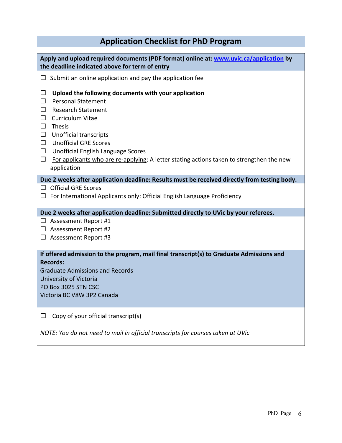## **Application Checklist for PhD Program**

| Apply and upload required documents (PDF format) online at: www.uvic.ca/application by<br>the deadline indicated above for term of entry                                                                                                                                                                                                                                                                                     |  |  |
|------------------------------------------------------------------------------------------------------------------------------------------------------------------------------------------------------------------------------------------------------------------------------------------------------------------------------------------------------------------------------------------------------------------------------|--|--|
| Submit an online application and pay the application fee<br>□                                                                                                                                                                                                                                                                                                                                                                |  |  |
| $\Box$<br>Upload the following documents with your application<br><b>Personal Statement</b><br>$\Box$<br><b>Research Statement</b><br>П<br>□<br>Curriculum Vitae<br><b>Thesis</b><br>□<br><b>Unofficial transcripts</b><br>$\Box$<br><b>Unofficial GRE Scores</b><br>$\Box$<br>$\Box$<br>Unofficial English Language Scores<br>For applicants who are re-applying: A letter stating actions taken to strengthen the new<br>□ |  |  |
| application                                                                                                                                                                                                                                                                                                                                                                                                                  |  |  |
| Due 2 weeks after application deadline: Results must be received directly from testing body.<br><b>Official GRE Scores</b><br>П<br>For International Applicants only: Official English Language Proficiency<br>□                                                                                                                                                                                                             |  |  |
| Due 2 weeks after application deadline: Submitted directly to UVic by your referees.                                                                                                                                                                                                                                                                                                                                         |  |  |
| $\Box$ Assessment Report #1<br>$\Box$ Assessment Report #2<br>$\Box$ Assessment Report #3                                                                                                                                                                                                                                                                                                                                    |  |  |
| If offered admission to the program, mail final transcript(s) to Graduate Admissions and<br><b>Records:</b><br><b>Graduate Admissions and Records</b><br>University of Victoria<br>PO Box 3025 STN CSC<br>Victoria BC V8W 3P2 Canada                                                                                                                                                                                         |  |  |
| Copy of your official transcript(s)<br>□                                                                                                                                                                                                                                                                                                                                                                                     |  |  |

*NOTE: You do not need to mail in official transcripts for courses taken at UVic*